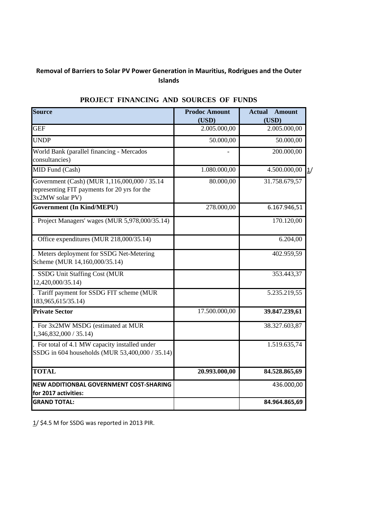### **Removal of Barriers to Solar PV Power Generation in Mauritius, Rodrigues and the Outer Islands**

| <b>Source</b>                                                                                                   | <b>Prodoc Amount</b><br>(USD) | <b>Actual</b><br><b>Amount</b><br>(USD) |
|-----------------------------------------------------------------------------------------------------------------|-------------------------------|-----------------------------------------|
| <b>GEF</b>                                                                                                      | 2.005.000,00                  | 2.005.000,00                            |
| <b>UNDP</b>                                                                                                     | 50.000,00                     | 50.000,00                               |
| World Bank (parallel financing - Mercados<br>consultancies)                                                     |                               | 200.000,00                              |
| MID Fund (Cash)                                                                                                 | 1.080.000,00                  | 4.500.000,00<br>1/                      |
| Government (Cash) (MUR 1,116,000,000 / 35.14<br>representing FIT payments for 20 yrs for the<br>3x2MW solar PV) | 80.000,00                     | 31.758.679,57                           |
| <b>Government (In Kind/MEPU)</b>                                                                                | 278.000,00                    | 6.167.946,51                            |
| . Project Managers' wages (MUR 5,978,000/35.14)                                                                 |                               | 170.120,00                              |
| . Office expenditures (MUR $218,000/35.14$ )                                                                    |                               | 6.204,00                                |
| . Meters deployment for SSDG Net-Metering<br>Scheme (MUR 14,160,000/35.14)                                      |                               | 402.959,59                              |
| . SSDG Unit Staffing Cost (MUR<br>12,420,000/35.14)                                                             |                               | 353.443,37                              |
| . Tariff payment for SSDG FIT scheme (MUR<br>183,965,615/35.14)                                                 |                               | 5.235.219,55                            |
| <b>Private Sector</b>                                                                                           | 17.500.000,00                 | 39.847.239,61                           |
| . For 3x2MW MSDG (estimated at MUR<br>1,346,832,000 / 35.14)                                                    |                               | 38.327.603,87                           |
| . For total of 4.1 MW capacity installed under<br>SSDG in 604 households (MUR 53,400,000 / 35.14)               |                               | 1.519.635,74                            |
| <b>TOTAL</b>                                                                                                    | 20.993.000,00                 | 84.528.865,69                           |
| <b>NEW ADDITIONBAL GOVERNMENT COST-SHARING</b><br>for 2017 activities:                                          |                               | 436.000,00                              |
| <b>GRAND TOTAL:</b>                                                                                             |                               | 84.964.865,69                           |

## **PROJECT FINANCING AND SOURCES OF FUNDS**

1/ \$4.5 M for SSDG was reported in 2013 PIR.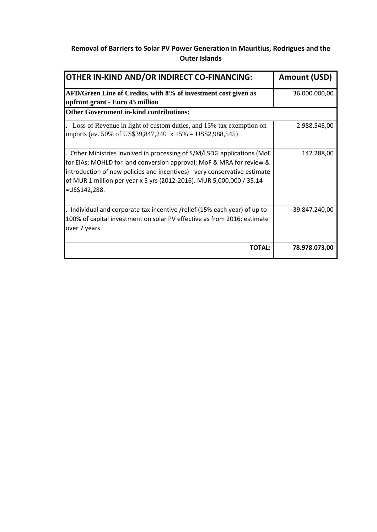# **Removal of Barriers to Solar PV Power Generation in Mauritius, Rodrigues and the Outer Islands**

| OTHER IN-KIND AND/OR INDIRECT CO-FINANCING:                                                                                                                                                                                                                                                                          | <b>Amount (USD)</b> |
|----------------------------------------------------------------------------------------------------------------------------------------------------------------------------------------------------------------------------------------------------------------------------------------------------------------------|---------------------|
| AFD/Green Line of Credits, with 8% of investment cost given as<br>upfront grant - Euro 45 million                                                                                                                                                                                                                    | 36.000.000,00       |
| <b>Other Government in-kind contributions:</b>                                                                                                                                                                                                                                                                       |                     |
| Loss of Revenue in light of custom duties, and 15% tax exemption on<br>imports (av. 50% of US\$39,847,240 x 15% = US\$2,988,545)                                                                                                                                                                                     | 2.988.545,00        |
| Other Ministries involved in processing of S/M/LSDG applications (MoE<br>for EIAs; MOHLD for land conversion approval; MoF & MRA for review &<br>introduction of new policies and incentives) - very conservative estimate<br>of MUR 1 million per year x 5 yrs (2012-2016). MUR 5,000,000 / 35.14<br>$=US$142,288.$ | 142.288,00          |
| Individual and corporate tax incentive /relief (15% each year) of up to<br>100% of capital investment on solar PV effective as from 2016; estimate<br>over 7 years                                                                                                                                                   | 39.847.240,00       |
| <b>TOTAL:</b>                                                                                                                                                                                                                                                                                                        | 78.978.073,00       |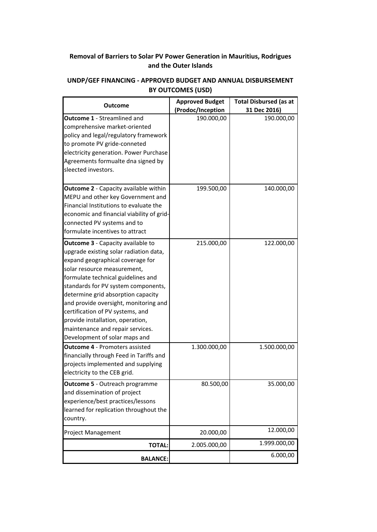### **Removal of Barriers to Solar PV Power Generation in Mauritius, Rodrigues and the Outer Islands**

#### **Outcome 1** ‐ Streamlined and comprehensive market‐oriented policy and legal/regulatory framework to promote PV gride‐conneted electricity generation. Power Purchase Agreements formualte dna signed by sleected investors. 190.000,00 190.000,00 **Outcome 2** ‐ Capacity available within MEPU and other key Government and Financial Institutions to evaluate the economic and financial viability of grid‐ connected PV systems and to formulate incentives to attract i t **Outcome 3** ‐ Capacity available to 199.500,00 140.000,00 upgrade existing solar radiation data, expand geographical coverage for solar resource measurement, formulate technical guidelines and standards for PV system components, determine grid absorption capacity and provide oversight, monitoring and certification of PV systems, and provide installation, operation, maintenance and repair services. Development of solar maps and 215.000,00 122.000,00 **Outcome 4** ‐ Promoters assisted financially through Feed in Tariffs and projects implemented and supplying electricity to the CEB grid. 1.300.000,00 1.500.000,00 **Outcome 5** ‐ Outreach programme and dissemination of project experience/best practices/lessons learned for replication throughout the country. 80.500,00 35.000,00 Project Management 20.000,00 12.000,00 **TOTAL:** 2.005.000,00 1.999.000,00 **BALANCE:** 6.000,00 **Outcome Approved Budget (Prodoc/Inception Total Disbursed (as at 31 Dec 2016)**

#### **UNDP/GEF FINANCING ‐ APPROVED BUDGET AND ANNUAL DISBURSEMENT BY OUTCOMES (USD)**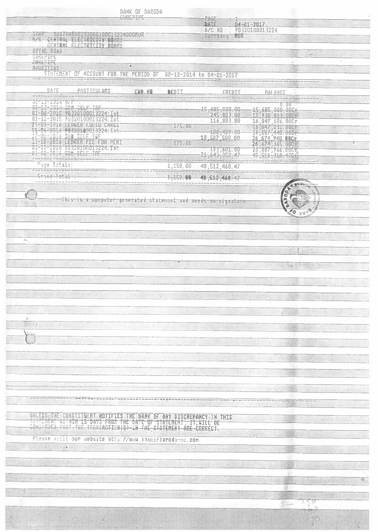